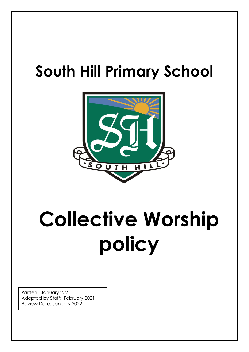## **South Hill Primary School**



# **Collective Worship policy**

**S**

Written: January 2021 Adopted by Staff: February 2021 Review Date: January 2022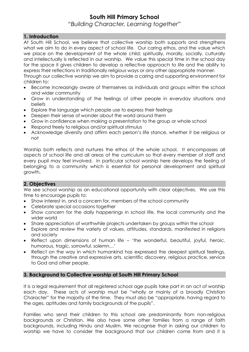### **South Hill Primary School**

*"Building Character, Learning together"*

#### **1. Introduction**

At South Hill School, we believe that collective worship both supports and strengthens what we aim to do in every aspect of school life. Our caring ethos, and the value which we place on the development of the whole child; spiritually, morally, socially, culturally and intellectually is reflected in our worship. We value this special time in the school day for the space it gives children to develop a reflective approach to life and the ability to express their reflections in traditionally religious ways or any other appropriate manner.

Through our collective worship we aim to provide a caring and supporting environment for children to:

- Become increasingly aware of themselves as individuals and groups within the school and wider community
- Grow in understanding of the feelings of other people in everyday situations and beliefs
- Explore the language which people use to express their feelings
- Deepen their sense of wonder about the world around them
- Grow in confidence when making a presentation to the group or whole school
- Respond freely to religious and/or spiritual stimulus
- Acknowledge diversity and affirm each person's life stance, whether it be religious or not

Worship both reflects and nurtures the ethos of the whole school. It encompasses all aspects of school life and all areas of the curriculum so that every member of staff and every pupil may feel involved. In particular school worship here develops the feeling of belonging to a community which is essential for personal development and spiritual growth.

#### **2. Objectives**

We see school worship as an educational opportunity with clear objectives. We use this time to encourage pupils to:

- Show interest in, and a concern for, members of the school community
- Celebrate special occasions together
- Show concern for the daily happenings in school life, the local community and the wider world
- Share appreciation of worthwhile projects undertaken by groups within the school
- Explore and review the variety of values, attitudes, standards, manifested in religions and society
- Reflect upon dimensions of human life 'the wonderful, beautiful, joyful, heroic, humorous, tragic, sorrowful, solemn…'
- Reflect on the way in which humankind has expressed the deepest spiritual feelings, through the creative and expressive arts, scientific discovery, religious practice, service to God and other people.

#### **3. Background to Collective worship at South Hill Primary School**

It is a legal requirement that all registered school age pupils take part in an act of worship each day. These acts of worship must be "wholly or mainly of a broadly Christian Character" for the majority of the time. They must also be "appropriate, having regard to the ages, aptitudes and family backgrounds of the pupils".

Families who send their children to this school are predominantly from non-religious backgrounds or Christian. We also have some other families from a range of faith backgrounds, including Hindu and Muslim. We recognise that in asking our children to worship we have to consider the background that our children come from and it is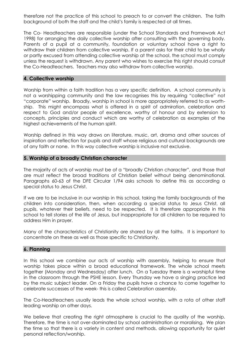therefore not the practice of this school to preach to or convert the children. The faith background of both the staff and the child's family is respected at all times.

The Co- Headteachers are responsible (under the School Standards and Framework Act 1998) for arranging the daily collective worship after consulting with the governing body. Parents of a pupil at a community, foundation or voluntary school have a right to withdraw their children from collective worship. If a parent asks for their child to be wholly or partly excused from attending collective worship at the school, the school must comply unless the request is withdrawn. Any parent who wishes to exercise this right should consult the Co-Headteachers. Teachers may also withdraw from collective worship.

#### **4. Collective worship**

Worship from within a faith tradition has a very specific definition. A school community is not a worshipping community and the law recognises this by requiring "collective" not "corporate" worship. Broadly, worship in school is more appropriately referred to as worthship. This might encompass what is offered in a spirit of admiration, celebration and respect to God and/or people of excellence, worthy of honour and by extension to concepts, principles and conduct which are worthy of celebration as examples of the highest achievements of the human spirit.

Worship defined in this way draws on literature, music, art, drama and other sources of inspiration and reflection for pupils and staff whose religious and cultural backgrounds are of any faith or none. In this way collective worship is inclusive not exclusive.

#### **5. Worship of a broadly Christian character**

The majority of acts of worship must be of a "broadly Christian character", and those that are must reflect the broad traditions of Christian belief without being denominational. Paragraphs 60-63 of the DFE Circular 1/94 asks schools to define this as according a special status to Jesus Christ.

If we are to be inclusive in our worship in this school, taking the family backgrounds of the children into consideration, then, when according a special status to Jesus Christ, all pupils, whatever their beliefs, need to be respected. It is therefore appropriate in this school to tell stories of the life of Jesus, but inappropriate for all children to be required to address Him in prayer.

Many of the characteristics of Christianity are shared by all the faiths. It is important to concentrate on these as well as those specific to Christianity.

#### **6. Planning**

In this school we combine our acts of worship with assembly, helping to ensure that worship takes place within a broad educational framework. The whole school meets together (Monday and Wednesday) after lunch. On a Tuesday there is a worshipful time in the classroom through the PSHE lesson. Every Thursday we have a singing practice led by the music subject leader. On a Friday the pupils have a chance to come together to celebrate successes of the week- this is called Celebration assembly.

The Co-Headteachers usually leads the whole school worship, with a rota of other staff leading worship on other days.

We believe that creating the right atmosphere is crucial to the quality of the worship. Therefore, the time is not over-dominated by school administration or moralising. We plan the time so that there is a variety in content and methods, allowing opportunity for quiet personal reflection/worship.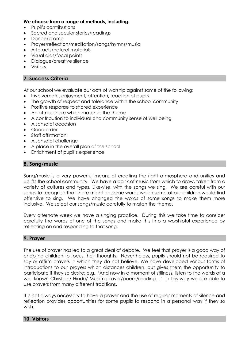#### **We choose from a range of methods, including:**

- Pupil's contributions
- Sacred and secular stories/readings
- Dance/drama
- Prayer/reflection/meditation/songs/hymns/music
- Artefacts/natural materials
- Visual aids/focal points
- Dialogue/creative silence
- Visitors

#### **7. Success Criteria**

At our school we evaluate our acts of worship against some of the following:

- Involvement, enjoyment, attention, reaction of pupils
- The growth of respect and tolerance within the school community
- Positive response to shared experience
- An atmosphere which matches the theme
- A contribution to individual and community sense of well being
- A sense of occasion
- Good order
- Staff affirmation
- A sense of challenge
- A place in the overall plan of the school
- Enrichment of pupil's experience

#### **8. Song/music**

Song/music is a very powerful means of creating the right atmosphere and unifies and uplifts the school community. We have a bank of music from which to draw, taken from a variety of cultures and types. Likewise, with the songs we sing. We are careful with our songs to recognise that there might be some words which some of our children would find offensive to sing. We have changed the words of some songs to make them more inclusive. We select our songs/music carefully to match the theme.

Every alternate week we have a singing practice. During this we take time to consider carefully the words of one of the songs and make this into a worshipful experience by reflecting on and responding to that song.

#### **9. Prayer**

The use of prayer has led to a great deal of debate. We feel that prayer is a good way of enabling children to focus their thoughts. Nevertheless, pupils should not be required to say or affirm prayers in which they do not believe. We have developed various forms of introductions to our prayers which distances children, but gives them the opportunity to participate if they so desire; e.g., 'And now in a moment of stillness, listen to the words of a well-known Christian/ Hindu/ Muslim prayer/poem/reading…' In this way we are able to use prayers from many different traditions.

It is not always necessary to have a prayer and the use of regular moments of silence and reflection provides opportunities for some pupils to respond in a personal way if they so wish.

#### **10. Visitors**